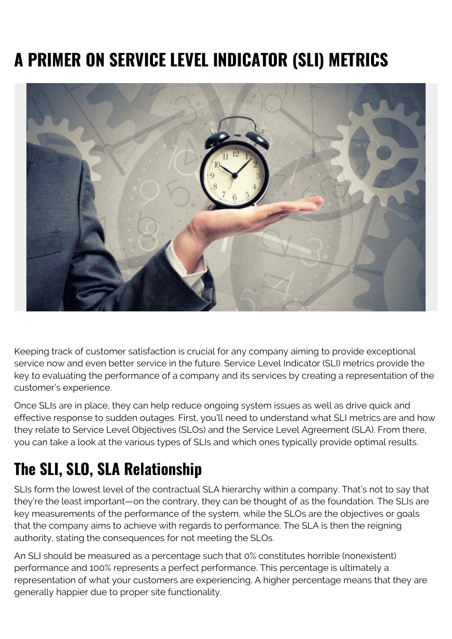# **A PRIMER ON SERVICE LEVEL INDICATOR (SLI) METRICS**



Keeping track of customer satisfaction is crucial for any company aiming to provide exceptional service now and even better service in the future. Service Level Indicator (SLI) metrics provide the key to evaluating the performance of a company and its services by creating a representation of the customer's experience.

Once SLIs are in place, they can help reduce ongoing system issues as well as drive quick and effective response to sudden outages. First, you'll need to understand what SLI metrics are and how they relate to Service Level Objectives (SLOs) and the Service Level Agreement (SLA). From there, you can take a look at the various types of SLIs and which ones typically provide optimal results.

### **The SLI, SLO, SLA Relationship**

SLIs form the lowest level of the contractual SLA hierarchy within a company. That's not to say that they're the least important—on the contrary, they can be thought of as the foundation. The SLIs are key measurements of the performance of the system, while the SLOs are the objectives or goals that the company aims to achieve with regards to performance. The SLA is then the reigning authority, stating the consequences for not meeting the SLOs.

An SLI should be measured as a percentage such that 0% constitutes horrible (nonexistent) performance and 100% represents a perfect performance. This percentage is ultimately a representation of what your customers are experiencing. A higher percentage means that they are generally happier due to proper site functionality.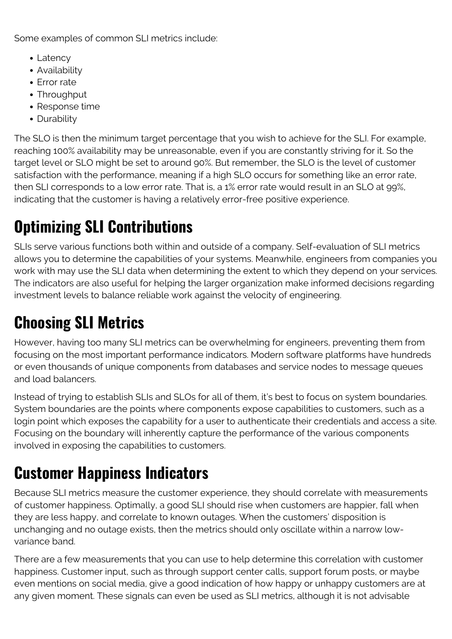Some examples of common SLI metrics include:

- Latency
- Availability
- Frror rate
- Throughput
- Response time
- Durability

The SLO is then the minimum target percentage that you wish to achieve for the SLI. For example, reaching 100% availability may be unreasonable, even if you are constantly striving for it. So the target level or SLO might be set to around 90%. But remember, the SLO is the level of customer satisfaction with the performance, meaning if a high SLO occurs for something like an error rate, then SLI corresponds to a low error rate. That is, a 1% error rate would result in an SLO at 99%, indicating that the customer is having a relatively error-free positive experience.

## **Optimizing SLI Contributions**

SLIs serve various functions both within and outside of a company. Self-evaluation of SLI metrics allows you to determine the capabilities of your systems. Meanwhile, engineers from companies you work with may use the SLI data when determining the extent to which they depend on your services. The indicators are also useful for helping the larger organization make informed decisions regarding investment levels to balance reliable work against the velocity of engineering.

### **Choosing SLI Metrics**

However, having too many SLI metrics can be overwhelming for engineers, preventing them from focusing on the most important performance indicators. Modern software platforms have hundreds or even thousands of unique components from databases and service nodes to message queues and load balancers.

Instead of trying to establish SLIs and SLOs for all of them, it's best to focus on system boundaries. System boundaries are the points where components expose capabilities to customers, such as a login point which exposes the capability for a user to authenticate their credentials and access a site. Focusing on the boundary will inherently capture the performance of the various components involved in exposing the capabilities to customers.

## **Customer Happiness Indicators**

Because SLI metrics measure the customer experience, they should correlate with measurements of customer happiness. Optimally, a good SLI should rise when customers are happier, fall when they are less happy, and correlate to known outages. When the customers' disposition is unchanging and no outage exists, then the metrics should only oscillate within a narrow lowvariance band.

There are a few measurements that you can use to help determine this correlation with customer happiness. Customer input, such as through support center calls, support forum posts, or maybe even mentions on social media, give a good indication of how happy or unhappy customers are at any given moment. These signals can even be used as SLI metrics, although it is not advisable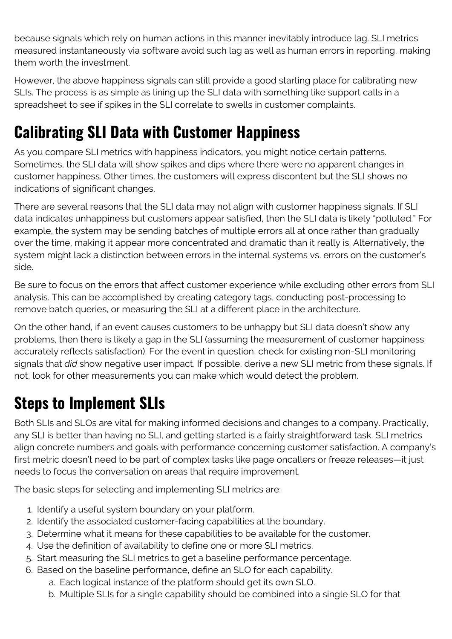because signals which rely on human actions in this manner inevitably introduce lag. SLI metrics measured instantaneously via software avoid such lag as well as human errors in reporting, making them worth the investment.

However, the above happiness signals can still provide a good starting place for calibrating new SLIs. The process is as simple as lining up the SLI data with something like support calls in a spreadsheet to see if spikes in the SLI correlate to swells in customer complaints.

#### **Calibrating SLI Data with Customer Happiness**

As you compare SLI metrics with happiness indicators, you might notice certain patterns. Sometimes, the SLI data will show spikes and dips where there were no apparent changes in customer happiness. Other times, the customers will express discontent but the SLI shows no indications of significant changes.

There are several reasons that the SLI data may not align with customer happiness signals. If SLI data indicates unhappiness but customers appear satisfied, then the SLI data is likely "polluted." For example, the system may be sending batches of multiple errors all at once rather than gradually over the time, making it appear more concentrated and dramatic than it really is. Alternatively, the system might lack a distinction between errors in the internal systems vs. errors on the customer's side.

Be sure to focus on the errors that affect customer experience while excluding other errors from SLI analysis. This can be accomplished by creating category tags, conducting post-processing to remove batch queries, or measuring the SLI at a different place in the architecture.

On the other hand, if an event causes customers to be unhappy but SLI data doesn't show any problems, then there is likely a gap in the SLI (assuming the measurement of customer happiness accurately reflects satisfaction). For the event in question, check for existing non-SLI monitoring signals that *did* show negative user impact. If possible, derive a new SLI metric from these signals. If not, look for other measurements you can make which would detect the problem.

#### **Steps to Implement SLIs**

Both SLIs and SLOs are vital for making informed decisions and changes to a company. Practically, any SLI is better than having no SLI, and getting started is a fairly straightforward task. SLI metrics align concrete numbers and goals with performance concerning customer satisfaction. A company's first metric doesn't need to be part of complex tasks like page oncallers or freeze releases—it just needs to focus the conversation on areas that require improvement.

The basic steps for selecting and implementing SLI metrics are:

- 1. Identify a useful system boundary on your platform.
- 2. Identify the associated customer-facing capabilities at the boundary.
- 3. Determine what it means for these capabilities to be available for the customer.
- 4. Use the definition of availability to define one or more SLI metrics.
- 5. Start measuring the SLI metrics to get a baseline performance percentage.
- 6. Based on the baseline performance, define an SLO for each capability.
	- a. Each logical instance of the platform should get its own SLO.
	- b. Multiple SLIs for a single capability should be combined into a single SLO for that